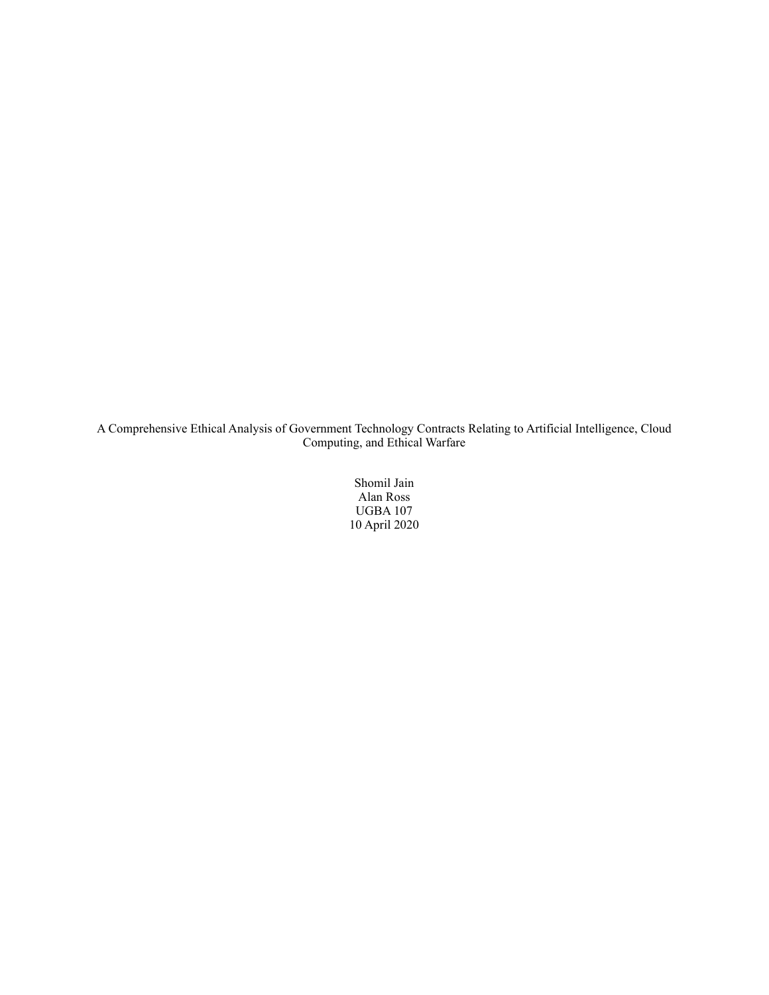A Comprehensive Ethical Analysis of Government Technology Contracts Relating to Artificial Intelligence, Cloud Computing, and Ethical Warfare

> Shomil Jain Alan Ross UGBA 107 10 April 2020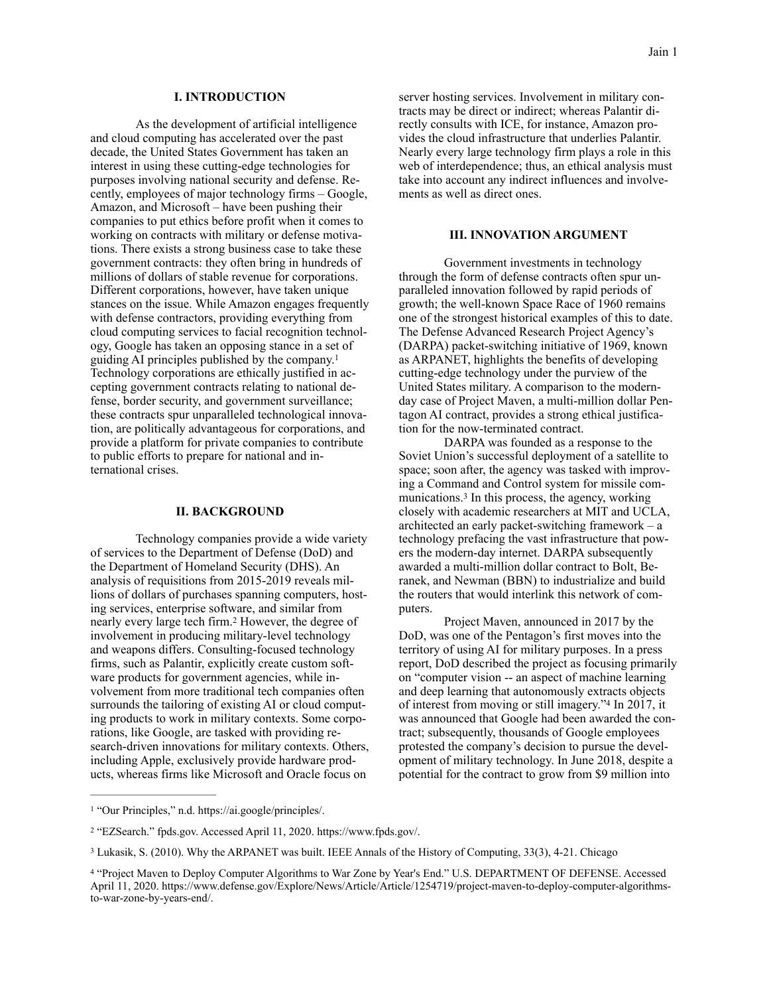As the development of artificial intelligence and cloud computing has accelerated over the past decade, the United States Government has taken an interest in using these cutting-edge technologies for purposes involving national security and defense. Recently, employees of major technology firms – Google, Amazon, and Microsoft – have been pushing their companies to put ethics before profit when it comes to working on contracts with military or defense motivations. There exists a strong business case to take these government contracts: they often bring in hundreds of millions of dollars of stable revenue for corporations. Different corporations, however, have taken unique stances on the issue. While Amazon engages frequently with defense contractors, providing everything from cloud computing services to facial recognition technology, Google has taken an opposing stance in a set of guiding AI principles published by the company.[1](#page-1-0) Technology corporations are ethically justified in accepting government contracts relating to national defense, border security, and government surveillance; these contracts spur unparalleled technological innovation, are politically advantageous for corporations, and provide a platform for private companies to contribute to public efforts to prepare for national and international crises.

# <span id="page-1-5"></span>**II. BACKGROUND**

 Technology companies provide a wide variety of services to the Department of Defense (DoD) and the Department of Homeland Security (DHS). An analysis of requisitions from 2015-2019 reveals millions of dollars of purchases spanning computers, hosting services, enterprise software, and similar from nearly every large tech firm.<sup>[2](#page-1-1)</sup> However, the degree of involvement in producing military-level technology and weapons differs. Consulting-focused technology firms, such as Palantir, explicitly create custom software products for government agencies, while involvement from more traditional tech companies often surrounds the tailoring of existing AI or cloud computing products to work in military contexts. Some corporations, like Google, are tasked with providing research-driven innovations for military contexts. Others, including Apple, exclusively provide hardware products, whereas firms like Microsoft and Oracle focus on

server hosting services. Involvement in military contracts may be direct or indirect; whereas Palantir directly consults with ICE, for instance, Amazon provides the cloud infrastructure that underlies Palantir. Nearly every large technology firm plays a role in this web of interdependence; thus, an ethical analysis must take into account any indirect influences and involvements as well as direct ones.

### **III. INNOVATION ARGUMENT**

 Government investments in technology through the form of defense contracts often spur unparalleled innovation followed by rapid periods of growth; the well-known Space Race of 1960 remains one of the strongest historical examples of this to date. The Defense Advanced Research Project Agency's (DARPA) packet-switching initiative of 1969, known as ARPANET, highlights the benefits of developing cutting-edge technology under the purview of the United States military. A comparison to the modernday case of Project Maven, a multi-million dollar Pentagon AI contract, provides a strong ethical justification for the now-terminated contract.

<span id="page-1-6"></span><span id="page-1-4"></span> DARPA was founded as a response to the Soviet Union's successful deployment of a satellite to space; soon after, the agency was tasked with improving a Command and Control system for missile com-munications[.](#page-1-2) $3$  In this process, the agency, working closely with academic researchers at MIT and UCLA, architected an early packet-switching framework – a technology prefacing the vast infrastructure that powers the modern-day internet. DARPA subsequently awarded a multi-million dollar contract to Bolt, Beranek, and Newman (BBN) to industrialize and build the routers that would interlink this network of computers.

<span id="page-1-7"></span> Project Maven, announced in 2017 by the DoD, was one of the Pentagon's first moves into the territory of using AI for military purposes. In a press report, DoD described the project as focusing primarily on "computer vision -- an aspect of machine learning and deep learning that autonomously extracts objects of interest from moving or still imagery."[4](#page-1-3) In 2017, it was announced that Google had been awarded the contract; subsequently, thousands of Google employees protested the company's decision to pursue the development of military technology. In June 2018, despite a potential for the contract to grow from \$9 million into

<span id="page-1-0"></span><sup>&</sup>lt;sup>[1](#page-1-4)</sup> "Our Principles," n.d. https://ai.google/principles/.

<span id="page-1-1"></span><sup>&</sup>lt;sup>[2](#page-1-5)</sup> "EZSearch." fpds.gov. Accessed April 11, 2020. https://www.fpds.gov/.

<span id="page-1-2"></span>[<sup>3</sup>](#page-1-6) Lukasik, S. (2010). Why the ARPANET was built. IEEE Annals of the History of Computing, 33(3), 4-21. Chicago

<span id="page-1-3"></span><sup>&</sup>lt;sup>[4](#page-1-7)</sup> "Project Maven to Deploy Computer Algorithms to War Zone by Year's End." U.S. DEPARTMENT OF DEFENSE. Accessed April 11, 2020. https://www.defense.gov/Explore/News/Article/Article/1254719/project-maven-to-deploy-computer-algorithmsto-war-zone-by-years-end/.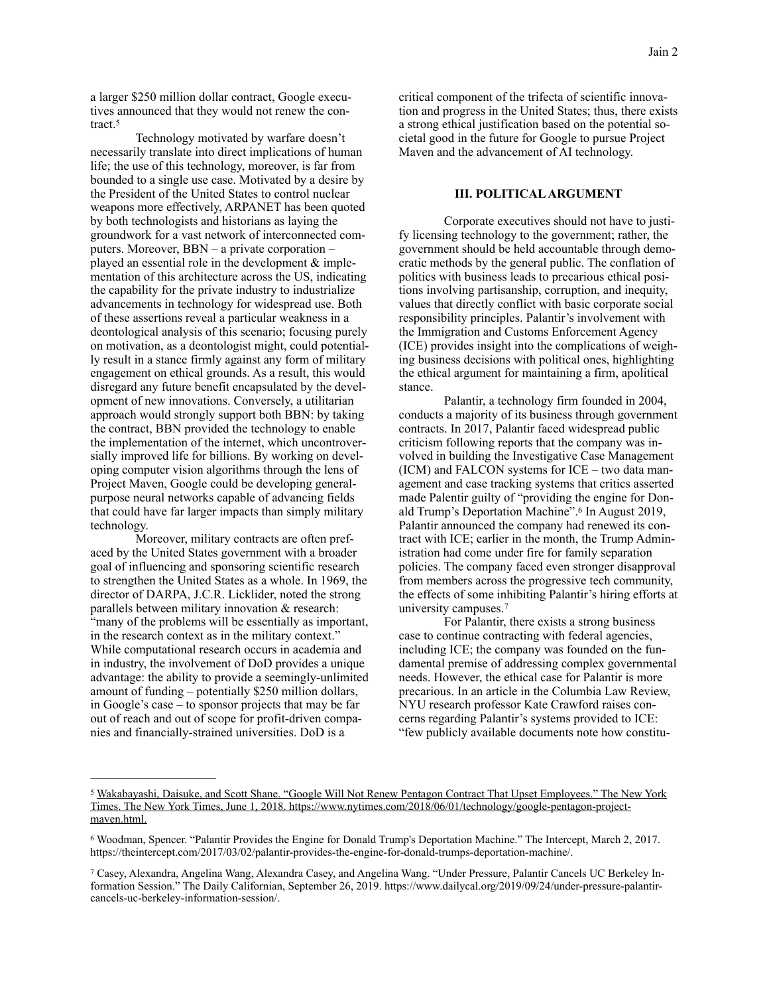a larger \$250 million dollar contract, Google executives announced that they would not renew the contract[.5](#page-2-0)

<span id="page-2-3"></span> Technology motivated by warfare doesn't necessarily translate into direct implications of human life; the use of this technology, moreover, is far from bounded to a single use case. Motivated by a desire by the President of the United States to control nuclear weapons more effectively, ARPANET has been quoted by both technologists and historians as laying the groundwork for a vast network of interconnected computers. Moreover, BBN – a private corporation – played an essential role in the development & implementation of this architecture across the US, indicating the capability for the private industry to industrialize advancements in technology for widespread use. Both of these assertions reveal a particular weakness in a deontological analysis of this scenario; focusing purely on motivation, as a deontologist might, could potentially result in a stance firmly against any form of military engagement on ethical grounds. As a result, this would disregard any future benefit encapsulated by the development of new innovations. Conversely, a utilitarian approach would strongly support both BBN: by taking the contract, BBN provided the technology to enable the implementation of the internet, which uncontroversially improved life for billions. By working on developing computer vision algorithms through the lens of Project Maven, Google could be developing generalpurpose neural networks capable of advancing fields that could have far larger impacts than simply military technology.

 Moreover, military contracts are often prefaced by the United States government with a broader goal of influencing and sponsoring scientific research to strengthen the United States as a whole. In 1969, the director of DARPA, J.C.R. Licklider, noted the strong parallels between military innovation & research: "many of the problems will be essentially as important, in the research context as in the military context." While computational research occurs in academia and in industry, the involvement of DoD provides a unique advantage: the ability to provide a seemingly-unlimited amount of funding – potentially \$250 million dollars, in Google's case – to sponsor projects that may be far out of reach and out of scope for profit-driven companies and financially-strained universities. DoD is a

critical component of the trifecta of scientific innovation and progress in the United States; thus, there exists a strong ethical justification based on the potential societal good in the future for Google to pursue Project Maven and the advancement of AI technology.

# **III. POLITICAL ARGUMENT**

 Corporate executives should not have to justify licensing technology to the government; rather, the government should be held accountable through democratic methods by the general public. The conflation of politics with business leads to precarious ethical positions involving partisanship, corruption, and inequity, values that directly conflict with basic corporate social responsibility principles. Palantir's involvement with the Immigration and Customs Enforcement Agency (ICE) provides insight into the complications of weighing business decisions with political ones, highlighting the ethical argument for maintaining a firm, apolitical stance.

<span id="page-2-4"></span> Palantir, a technology firm founded in 2004, conducts a majority of its business through government contracts. In 2017, Palantir faced widespread public criticism following reports that the company was involved in building the Investigative Case Management (ICM) and FALCON systems for ICE – two data management and case tracking systems that critics asserted made Palentir guilty of "providing the engine for Don-ald Trump's Deportation Machine".<sup>[6](#page-2-1)</sup> In August 2019, Palantir announced the company had renewed its contract with ICE; earlier in the month, the Trump Administration had come under fire for family separation policies. The company faced even stronger disapproval from members across the progressive tech community, the effects of some inhibiting Palantir's hiring efforts at university campuses.[7](#page-2-2)

<span id="page-2-5"></span> For Palantir, there exists a strong business case to continue contracting with federal agencies, including ICE; the company was founded on the fundamental premise of addressing complex governmental needs. However, the ethical case for Palantir is more precarious. In an article in the Columbia Law Review, NYU research professor Kate Crawford raises concerns regarding Palantir's systems provided to ICE: "few publicly available documents note how constitu-

<span id="page-2-0"></span><sup>&</sup>lt;sup>[5](#page-2-3)</sup> Wakabayashi, Daisuke, and Scott Shane. "Google Will Not Renew Pentagon Contract That Upset Employees." The New York Times. The New York Times, June 1, 2018. https://www.nytimes.com/2018/06/01/technology/google-pentagon-projectmaven.html.

<span id="page-2-1"></span>Woodman, Spencer. "Palantir Provides the Engine for Donald Trump's Deportation Machine." The Intercept, March 2, 2017. [6](#page-2-4) https://theintercept.com/2017/03/02/palantir-provides-the-engine-for-donald-trumps-deportation-machine/.

<span id="page-2-2"></span>[<sup>7</sup>](#page-2-5) Casey, Alexandra, Angelina Wang, Alexandra Casey, and Angelina Wang. "Under Pressure, Palantir Cancels UC Berkeley Information Session." The Daily Californian, September 26, 2019. https://www.dailycal.org/2019/09/24/under-pressure-palantircancels-uc-berkeley-information-session/.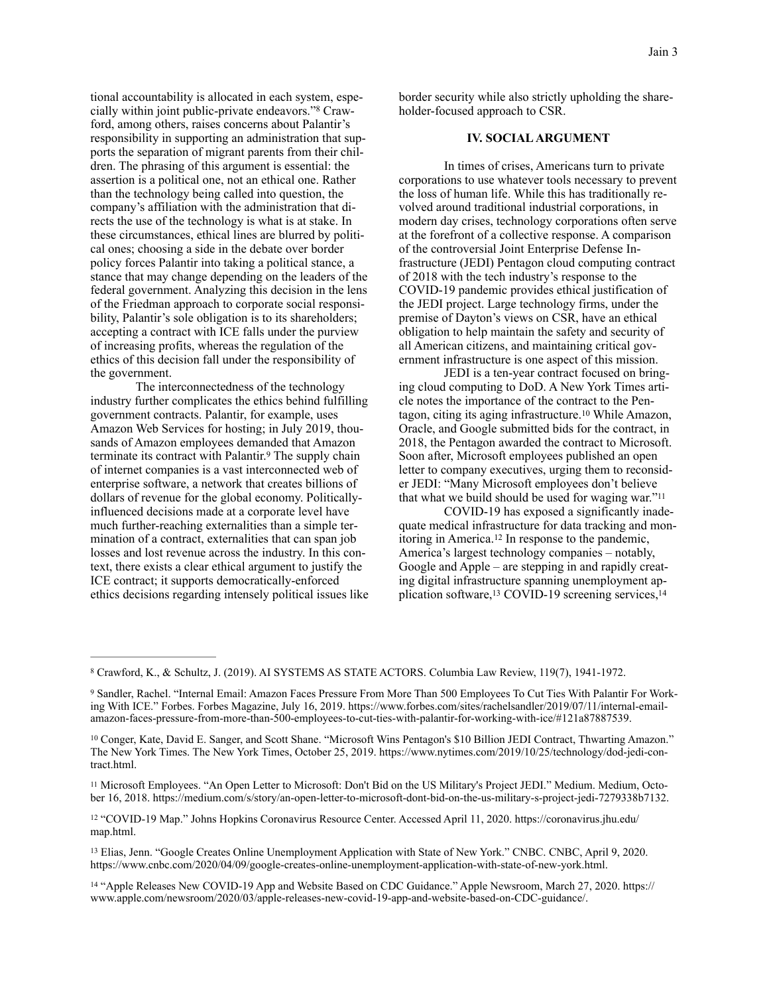tional accountability is allocated in each system, especially within joint public-private endeavors."[8](#page-3-0) Crawford, among others, raises concerns about Palantir's responsibility in supporting an administration that supports the separation of migrant parents from their children. The phrasing of this argument is essential: the assertion is a political one, not an ethical one. Rather than the technology being called into question, the company's affiliation with the administration that directs the use of the technology is what is at stake. In these circumstances, ethical lines are blurred by political ones; choosing a side in the debate over border policy forces Palantir into taking a political stance, a stance that may change depending on the leaders of the federal government. Analyzing this decision in the lens of the Friedman approach to corporate social responsibility, Palantir's sole obligation is to its shareholders; accepting a contract with ICE falls under the purview of increasing profits, whereas the regulation of the ethics of this decision fall under the responsibility of the government.

 The interconnectedness of the technology industry further complicates the ethics behind fulfilling government contracts. Palantir, for example, uses Amazon Web Services for hosting; in July 2019, thousands of Amazon employees demanded that Amazon terminate its contract with Palantir.<sup>[9](#page-3-1)</sup> The supply chain of internet companies is a vast interconnected web of enterprise software, a network that creates billions of dollars of revenue for the global economy. Politicallyinfluenced decisions made at a corporate level have much further-reaching externalities than a simple termination of a contract, externalities that can span job losses and lost revenue across the industry. In this context, there exists a clear ethical argument to justify the ICE contract; it supports democratically-enforced ethics decisions regarding intensely political issues like

<span id="page-3-7"></span>border security while also strictly upholding the shareholder-focused approach to CSR.

## **IV. SOCIAL ARGUMENT**

 In times of crises, Americans turn to private corporations to use whatever tools necessary to prevent the loss of human life. While this has traditionally revolved around traditional industrial corporations, in modern day crises, technology corporations often serve at the forefront of a collective response. A comparison of the controversial Joint Enterprise Defense Infrastructure (JEDI) Pentagon cloud computing contract of 2018 with the tech industry's response to the COVID-19 pandemic provides ethical justification of the JEDI project. Large technology firms, under the premise of Dayton's views on CSR, have an ethical obligation to help maintain the safety and security of all American citizens, and maintaining critical government infrastructure is one aspect of this mission.

<span id="page-3-9"></span> JEDI is a ten-year contract focused on bringing cloud computing to DoD. A New York Times article notes the importance of the contract to the Pen-tagon, citing its aging infrastructure.<sup>[10](#page-3-2)</sup> While Amazon, Oracle, and Google submitted bids for the contract, in 2018, the Pentagon awarded the contract to Microsoft. Soon after, Microsoft employees published an open letter to company executives, urging them to reconsider JEDI: "Many Microsoft employees don't believe that what we build should be used for waging war."[11](#page-3-3)

<span id="page-3-13"></span><span id="page-3-12"></span><span id="page-3-11"></span><span id="page-3-10"></span><span id="page-3-8"></span> COVID-19 has exposed a significantly inadequate medical infrastructure for data tracking and mon-itoring in America.<sup>[12](#page-3-4)</sup> In response to the pandemic, America's largest technology companies – notably, Google and Apple – are stepping in and rapidly creating digital infrastructure spanning unemployment ap-plication software,<sup>13</sup> COVID-19 screening services,<sup>[14](#page-3-6)</sup>

<span id="page-3-3"></span>[11](#page-3-10) Microsoft Employees. "An Open Letter to Microsoft: Don't Bid on the US Military's Project JEDI." Medium. Medium, October 16, 2018. https://medium.com/s/story/an-open-letter-to-microsoft-dont-bid-on-the-us-military-s-project-jedi-7279338b7132.

<span id="page-3-4"></span><sup>[12](#page-3-11)</sup> "COVID-19 Map." Johns Hopkins Coronavirus Resource Center. Accessed April 11, 2020. https://coronavirus.jhu.edu/ map.html.

<span id="page-3-0"></span>Crawford, K., & Schultz, J. (2019). AI SYSTEMS AS STATE ACTORS. Columbia Law Review, 119(7), 1941-1972. [8](#page-3-7)

<span id="page-3-1"></span>[<sup>9</sup>](#page-3-8) Sandler, Rachel. "Internal Email: Amazon Faces Pressure From More Than 500 Employees To Cut Ties With Palantir For Working With ICE." Forbes. Forbes Magazine, July 16, 2019. https://www.forbes.com/sites/rachelsandler/2019/07/11/internal-emailamazon-faces-pressure-from-more-than-500-employees-to-cut-ties-with-palantir-for-working-with-ice/#121a87887539.

<span id="page-3-2"></span><sup>&</sup>lt;sup>[10](#page-3-9)</sup> Conger, Kate, David E. Sanger, and Scott Shane. "Microsoft Wins Pentagon's \$10 Billion JEDI Contract, Thwarting Amazon." The New York Times. The New York Times, October 25, 2019. https://www.nytimes.com/2019/10/25/technology/dod-jedi-contract.html.

<span id="page-3-5"></span><sup>&</sup>lt;sup>[13](#page-3-12)</sup> Elias, Jenn. "Google Creates Online Unemployment Application with State of New York." CNBC. CNBC, April 9, 2020. https://www.cnbc.com/2020/04/09/google-creates-online-unemployment-application-with-state-of-new-york.html.

<span id="page-3-6"></span><sup>&</sup>lt;sup>[14](#page-3-13)</sup> "Apple Releases New COVID-19 App and Website Based on CDC Guidance." Apple Newsroom, March 27, 2020. https:// www.apple.com/newsroom/2020/03/apple-releases-new-covid-19-app-and-website-based-on-CDC-guidance/.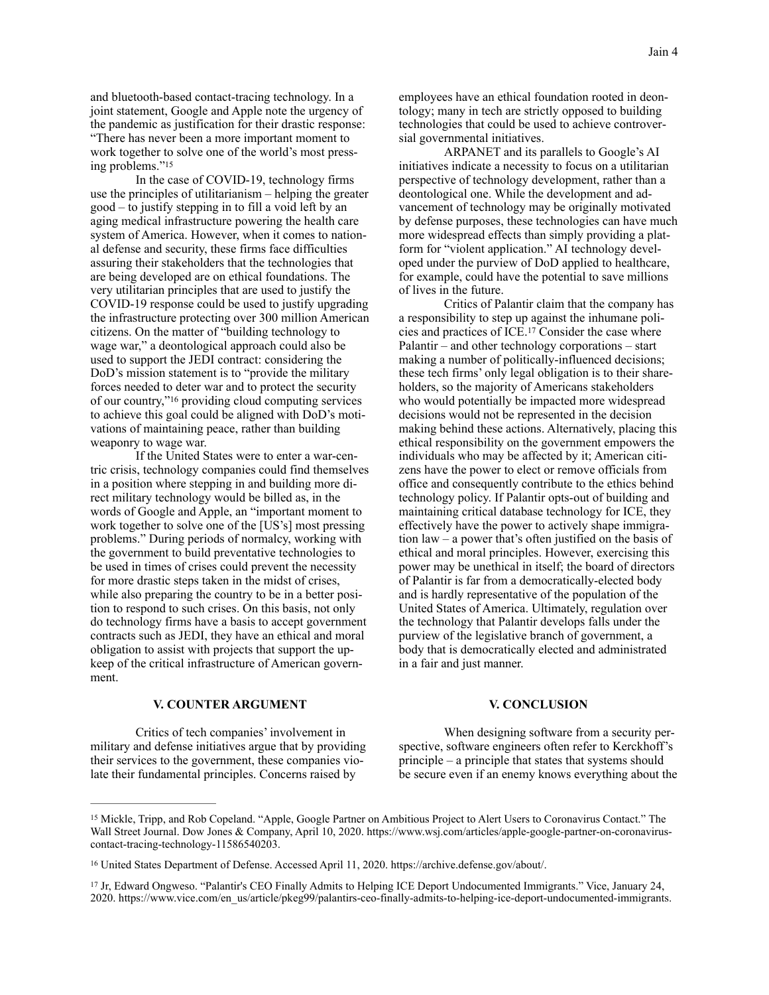and bluetooth-based contact-tracing technology. In a joint statement, Google and Apple note the urgency of the pandemic as justification for their drastic response: "There has never been a more important moment to work together to solve one of the world's most pressing problems.["15](#page-4-0)

<span id="page-4-3"></span> In the case of COVID-19, technology firms use the principles of utilitarianism – helping the greater good – to justify stepping in to fill a void left by an aging medical infrastructure powering the health care system of America. However, when it comes to national defense and security, these firms face difficulties assuring their stakeholders that the technologies that are being developed are on ethical foundations. The very utilitarian principles that are used to justify the COVID-19 response could be used to justify upgrading the infrastructure protecting over 300 million American citizens. On the matter of "building technology to wage war," a deontological approach could also be used to support the JEDI contract: considering the DoD's mission statement is to "provide the military forces needed to deter war and to protect the security of our country," $16$  providing cloud computing services to achieve this goal could be aligned with DoD's motivations of maintaining peace, rather than building weaponry to wage war.

<span id="page-4-4"></span> If the United States were to enter a war-centric crisis, technology companies could find themselves in a position where stepping in and building more direct military technology would be billed as, in the words of Google and Apple, an "important moment to work together to solve one of the [US's] most pressing problems." During periods of normalcy, working with the government to build preventative technologies to be used in times of crises could prevent the necessity for more drastic steps taken in the midst of crises, while also preparing the country to be in a better position to respond to such crises. On this basis, not only do technology firms have a basis to accept government contracts such as JEDI, they have an ethical and moral obligation to assist with projects that support the upkeep of the critical infrastructure of American government.

employees have an ethical foundation rooted in deontology; many in tech are strictly opposed to building technologies that could be used to achieve controversial governmental initiatives.

 ARPANET and its parallels to Google's AI initiatives indicate a necessity to focus on a utilitarian perspective of technology development, rather than a deontological one. While the development and advancement of technology may be originally motivated by defense purposes, these technologies can have much more widespread effects than simply providing a platform for "violent application." AI technology developed under the purview of DoD applied to healthcare, for example, could have the potential to save millions of lives in the future.

<span id="page-4-5"></span> Critics of Palantir claim that the company has a responsibility to step up against the inhumane poli-cies and practices of ICE.<sup>[17](#page-4-2)</sup> Consider the case where Palantir – and other technology corporations – start making a number of politically-influenced decisions; these tech firms' only legal obligation is to their shareholders, so the majority of Americans stakeholders who would potentially be impacted more widespread decisions would not be represented in the decision making behind these actions. Alternatively, placing this ethical responsibility on the government empowers the individuals who may be affected by it; American citizens have the power to elect or remove officials from office and consequently contribute to the ethics behind technology policy. If Palantir opts-out of building and maintaining critical database technology for ICE, they effectively have the power to actively shape immigration law – a power that's often justified on the basis of ethical and moral principles. However, exercising this power may be unethical in itself; the board of directors of Palantir is far from a democratically-elected body and is hardly representative of the population of the United States of America. Ultimately, regulation over the technology that Palantir develops falls under the purview of the legislative branch of government, a body that is democratically elected and administrated in a fair and just manner.

### **V. COUNTER ARGUMENT**

 Critics of tech companies' involvement in military and defense initiatives argue that by providing their services to the government, these companies violate their fundamental principles. Concerns raised by

### **V. CONCLUSION**

 When designing software from a security perspective, software engineers often refer to Kerckhoff's principle – a principle that states that systems should be secure even if an enemy knows everything about the

<span id="page-4-0"></span><sup>&</sup>lt;sup>[15](#page-4-3)</sup> Mickle, Tripp, and Rob Copeland. "Apple, Google Partner on Ambitious Project to Alert Users to Coronavirus Contact." The Wall Street Journal. Dow Jones & Company, April 10, 2020. https://www.wsj.com/articles/apple-google-partner-on-coronaviruscontact-tracing-technology-11586540203.

<span id="page-4-1"></span><sup>&</sup>lt;sup>[16](#page-4-4)</sup> United States Department of Defense. Accessed April 11, 2020. https://archive.defense.gov/about/.

<span id="page-4-2"></span>[<sup>17</sup>](#page-4-5) Jr, Edward Ongweso. "Palantir's CEO Finally Admits to Helping ICE Deport Undocumented Immigrants." Vice, January 24, 2020. https://www.vice.com/en\_us/article/pkeg99/palantirs-ceo-finally-admits-to-helping-ice-deport-undocumented-immigrants.